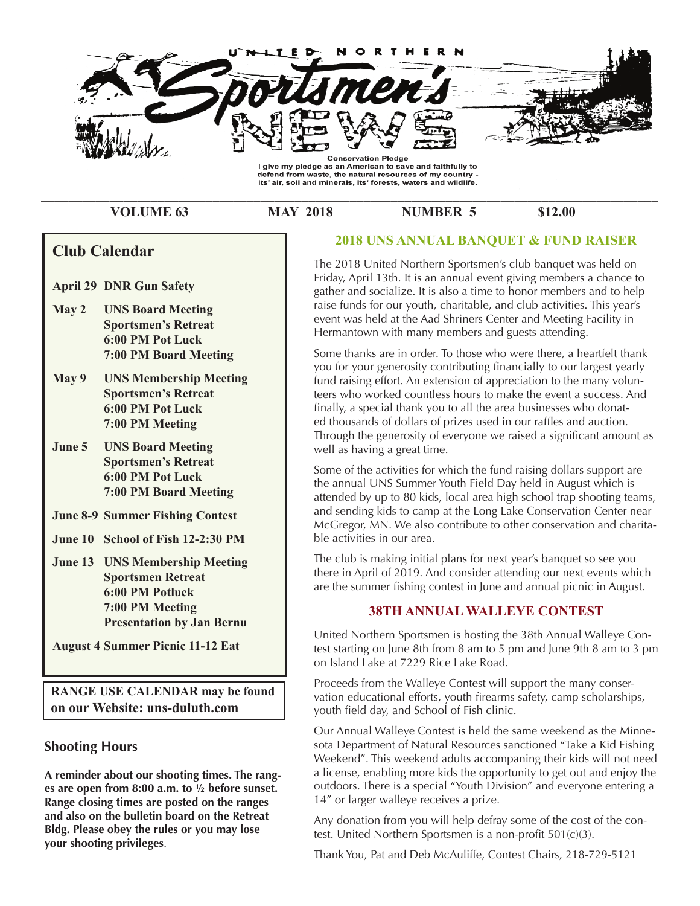

#### \_\_\_\_\_\_\_\_\_\_\_\_\_\_\_\_\_\_\_\_\_\_\_\_\_\_\_\_\_\_\_\_\_\_\_\_\_\_\_\_\_\_\_\_\_\_\_\_\_\_\_\_\_\_\_\_\_\_\_\_\_\_\_\_\_\_\_\_\_\_\_\_\_\_\_\_\_\_\_\_\_\_\_\_\_\_\_\_\_\_ **VOLUME 63 MAY 2018 NUMBER 5** \$12.00

**Club Calendar**

- **April 29 DNR Gun Safety**
- **Reference Sportsmen's Retreat May 2 UNS Board Meeting 6:00 PM Pot Luck 7:00 PM Board Meeting**
- **Analy 2 CNS Membersmp M**<br> **Sportsmen's Retreat 1 6:00 PM Pot Luck** finally, **found that the 34th Annual United the 34th Annual United States and Annual United States and Theory May 9 UNS Membership Meeting**
- **June 5 UNS Board Meeting CONS Well** as **Ralph Levine made a motion to hold and an annual banquet in the motion to hold and annual banquet in the space of the space of the space of the space of the space of the space of the space of the space of the space of the** to a certain number of the series of the series of the series of the series of the series of the series of the series of the series of the series of the series of the series of the series of the series of the series of the **Example 18 Service May 8th at Eldies Service In May 8th at Eldies Service In May 8th at Eldies Street Service I**  $\frac{1}{2}$ June 5
- **June 8-9 Summer Fishing Contest** and set mark that the solution
- calendari for April 13th for the Apple 19th for the Apple 19th Annual 19th Annual 19th Annual 19th Annual 19th Annual 19th Annual 19th Annual 19th Annual 19th Annual 19th Annual 19th Annual 19th Annual 19th Annual 19th Ann **June 10 School of Fish 12-2:30 PM** ble act
- **June 13 UNS Membership Meeting The cluster of the 4:00 PM.** The cluster **Sportsmen Retreat** there is **and the price is 25 per person. As stated above the price is a stated above the person.** As stated above the stated above the stated above the stated above the stated above the stated above the stated above the stated abo banquet is to honor our members for continuous years of  **7:00 PM Meeting** service in the way from 5 years to 2 years to 2 years to 2 years to 1 years to 1 years to 1 years to 1 years to 1 years to 1 years to 1 years to 1 years to 1 years to 1 years to 1 years to 1 years to 1 years to 1 years to **Presentation by Jan Bernu**

**August 4 Summer Picnic 11-12 Eat** and the est state

**RANGE USE CALENDAR may be found varion a on our Website: uns-duluth.com**  $\frac{1}{2}$  be greatly approximated and give the give that person some some solutions of  $\frac{1}{2}$ 

## **abush Shooting Hours and Thank You in advance for the solution** sotal D

A reminder about our shooting times. The rang**es are open from 8:00 a.m. to ½ before sunset. Range closing times are posted on the ranges and also on the bulletin board on the Retreat Bldg. Please obey the rules or you may lose your shooting privileges**.

## **2018 UNS ANNUAL BANQUET & FUND RAISER**

**CIUD CAIENUAI**<br>
The 2018 United Northern Sportsmen's club banquet was held on Friday, April 13th. It is an annual event giving members a chance to gather and socialize. It is also a time to honor members and to help raise funds for our youth, charitable, and club activities. This year's event was held at the Aad Shriners Center and Meeting Facility in Hermantown with many members and guests attending.

**our Website: uns-duluth.com Club Calendar** Some thanks are in order. To those who were there, a heartfelt thank fund raising effort. An extension of appreciation to the many volunteers who worked countless hours to make the event a success. And **March 7 UNS Board Meeting** ed thousands of dollars of prizes used in our raffles and auction. Through the generosity of everyone we raised a significant amount as you for your generosity contributing financially to our largest yearly finally, a special thank you to all the area businesses who donatwell as having a great time.

> Some of the activities for which the fund raising dollars support are attended by up to 80 kids, local area high school trap shooting teams,<br>and sanding lids to same at the Lang Lake Conservation Center near. **March 14 UNS Membership Meeting** ble activities in our area. the annual UNS Summer Youth Field Day held in August which is and sending kids to camp at the Long Lake Conservation Center near McGregor, MN. We also contribute to other conservation and charita-

**Sportsmen's Retreat** The club is making initial plans for next year's banquet so see you File Club is making imital plans for next year's banquet so see you.<br>there in April of 2019. And consider attending our next events which are the summer fishing contest in June and annual picnic in August.

## **March 15 Fox, badger, opossum and 38TH ANNUAL WALLEYE CONTEST**

honoring fellow members and helping your club. The second state  $\sim$ **Raccoon seasons close** United Northern Sportsmen is hosting the 38th Annual Walleye Conon Island Lake at 7229 Rice Lake Road. test starting on June 8th from 8 am to 5 pm and June 9th 8 am to 3 pm

more the merrier. Also, please, if you now of a vendor  $p$ Appoint the *Valleye* contest will support the maily conservation educational efforts, youth firearms safety, camp scholarships, youth field day, and School of Fish clinic. Proceeds from the Walleye Contest will support the many conser-

recognition at our event also . Anything will be a set of  $\alpha$ more information please contact our chairman exists of the set of the set of the set of the set of the set of the set of the set of the set of the set of the set of the set of the set of the set of the set of the set of th .<br>Our Annual Walleye Contest is held the same weekend as the Minne-*Pull Almaal Wancyc Contest is new the same weekend as the Millite*<br>sota Department of Natural Resources sanctioned "Take a Kid Fishing Weekend". This weekend adults accompaning their kids will not need a license, enabling more kids the opportunity to get out and enjoy the outdoors. There is a special "Youth Division" and everyone entering a 14" or larger walleye receives a prize.

> Any donation from you will help defray some of the cost of the contest. United Northern Sportsmen is a non-profit 501(c)(3).

Thank You, Pat and Deb McAuliffe, Contest Chairs, 218-729-5121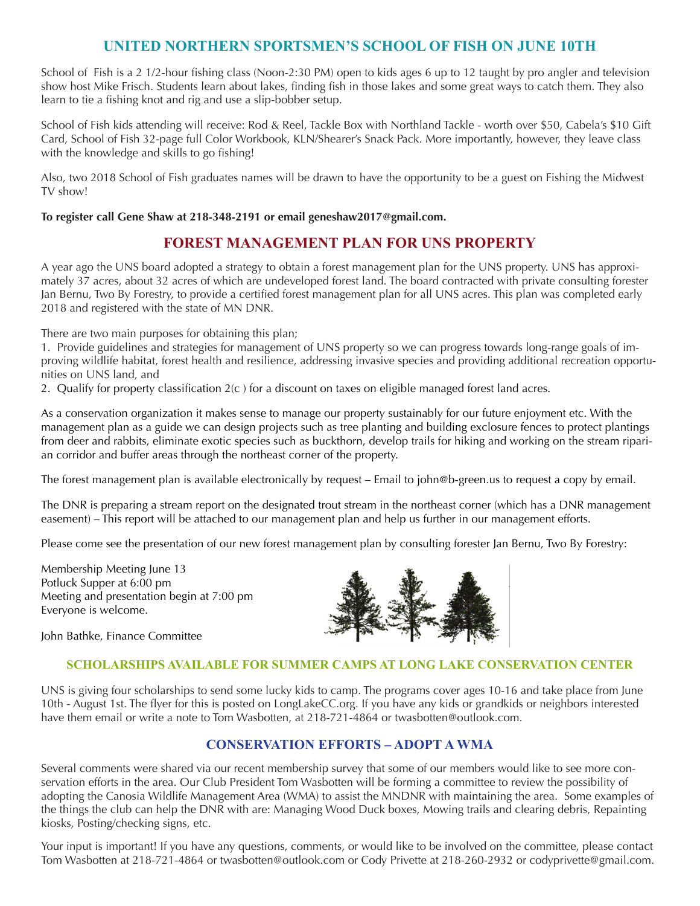# **UNITED NORTHERN SPORTSMEN'S SCHOOL OF FISH ON JUNE 10TH**

School of Fish is a 2 1/2-hour fishing class (Noon-2:30 PM) open to kids ages 6 up to 12 taught by pro angler and television show host Mike Frisch. Students learn about lakes, finding fish in those lakes and some great ways to catch them. They also learn to tie a fishing knot and rig and use a slip-bobber setup.

School of Fish kids attending will receive: Rod & Reel, Tackle Box with Northland Tackle - worth over \$50, Cabela's \$10 Gift Card, School of Fish 32-page full Color Workbook, KLN/Shearer's Snack Pack. More importantly, however, they leave class with the knowledge and skills to go fishing!

Also, two 2018 School of Fish graduates names will be drawn to have the opportunity to be a guest on Fishing the Midwest TV show!

**To register call Gene Shaw at 218-348-2191 or email geneshaw2017@gmail.com.** 

# **FOREST MANAGEMENT PLAN FOR UNS PROPERTY**

A year ago the UNS board adopted a strategy to obtain a forest management plan for the UNS property. UNS has approximately 37 acres, about 32 acres of which are undeveloped forest land. The board contracted with private consulting forester Jan Bernu, Two By Forestry, to provide a certified forest management plan for all UNS acres. This plan was completed early 2018 and registered with the state of MN DNR.

There are two main purposes for obtaining this plan;

1. Provide guidelines and strategies for management of UNS property so we can progress towards long-range goals of improving wildlife habitat, forest health and resilience, addressing invasive species and providing additional recreation opportunities on UNS land, and

2. Qualify for property classification  $2(c)$  for a discount on taxes on eligible managed forest land acres.

As a conservation organization it makes sense to manage our property sustainably for our future enjoyment etc. With the management plan as a guide we can design projects such as tree planting and building exclosure fences to protect plantings from deer and rabbits, eliminate exotic species such as buckthorn, develop trails for hiking and working on the stream riparian corridor and buffer areas through the northeast corner of the property.

The forest management plan is available electronically by request – Email to john@b-green.us to request a copy by email.

The DNR is preparing a stream report on the designated trout stream in the northeast corner (which has a DNR management easement) – This report will be attached to our management plan and help us further in our management efforts.

Please come see the presentation of our new forest management plan by consulting forester Jan Bernu, Two By Forestry:

Membership Meeting June 13 Potluck Supper at 6:00 pm Meeting and presentation begin at 7:00 pm Everyone is welcome.



John Bathke, Finance Committee

## **SCHOLARSHIPS AVAILABLE FOR SUMMER CAMPS AT LONG LAKE CONSERVATION CENTER**

UNS is giving four scholarships to send some lucky kids to camp. The programs cover ages 10-16 and take place from June 10th - August 1st. The flyer for this is posted on LongLakeCC.org. If you have any kids or grandkids or neighbors interested have them email or write a note to Tom Wasbotten, at 218-721-4864 or twasbotten@outlook.com.

## **CONSERVATION EFFORTS – ADOPT A WMA**

Several comments were shared via our recent membership survey that some of our members would like to see more conservation efforts in the area. Our Club President Tom Wasbotten will be forming a committee to review the possibility of adopting the Canosia Wildlife Management Area (WMA) to assist the MNDNR with maintaining the area. Some examples of the things the club can help the DNR with are: Managing Wood Duck boxes, Mowing trails and clearing debris, Repainting kiosks, Posting/checking signs, etc.

Your input is important! If you have any questions, comments, or would like to be involved on the committee, please contact Tom Wasbotten at 218-721-4864 or twasbotten@outlook.com or Cody Privette at 218-260-2932 or codyprivette@gmail.com.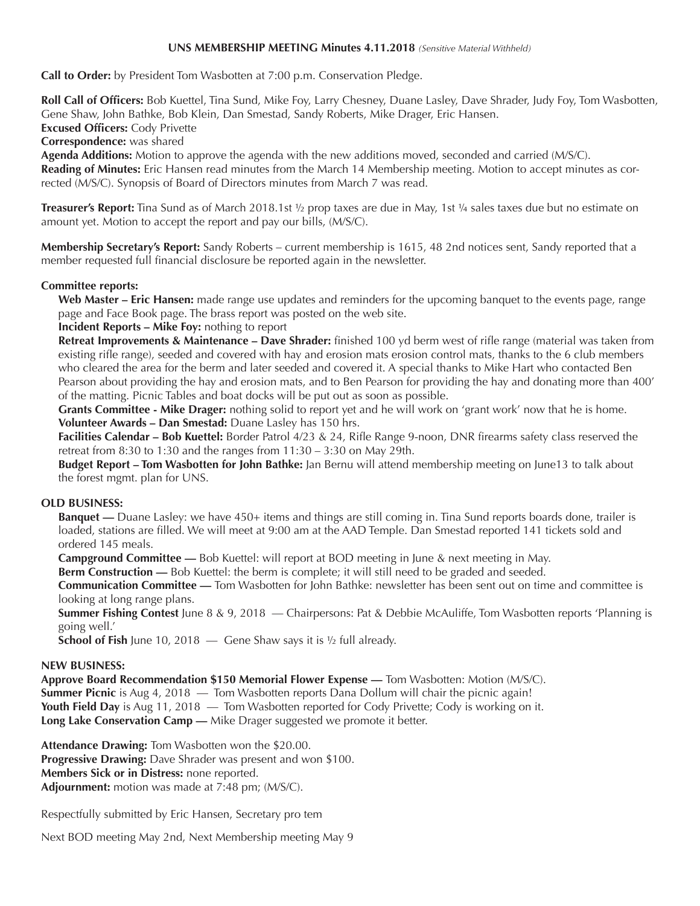#### **UNS MEMBERSHIP MEETING Minutes 4.11.2018** *(Sensitive Material Withheld)*

**Call to Order:** by President Tom Wasbotten at 7:00 p.m. Conservation Pledge.

**Roll Call of Officers:** Bob Kuettel, Tina Sund, Mike Foy, Larry Chesney, Duane Lasley, Dave Shrader, Judy Foy, Tom Wasbotten, Gene Shaw, John Bathke, Bob Klein, Dan Smestad, Sandy Roberts, Mike Drager, Eric Hansen.

**Excused Officers:** Cody Privette

**Correspondence:** was shared

**Agenda Additions:** Motion to approve the agenda with the new additions moved, seconded and carried (M/S/C).

**Reading of Minutes:** Eric Hansen read minutes from the March 14 Membership meeting. Motion to accept minutes as corrected (M/S/C). Synopsis of Board of Directors minutes from March 7 was read.

**Treasurer's Report:** Tina Sund as of March 2018.1st ½ prop taxes are due in May, 1st ¼ sales taxes due but no estimate on amount yet. Motion to accept the report and pay our bills, (M/S/C).

**Membership Secretary's Report:** Sandy Roberts – current membership is 1615, 48 2nd notices sent, Sandy reported that a member requested full financial disclosure be reported again in the newsletter.

#### **Committee reports:**

**Web Master – Eric Hansen:** made range use updates and reminders for the upcoming banquet to the events page, range page and Face Book page. The brass report was posted on the web site.

**Incident Reports – Mike Foy:** nothing to report

**Retreat Improvements & Maintenance – Dave Shrader:** finished 100 yd berm west of rifle range (material was taken from existing rifle range), seeded and covered with hay and erosion mats erosion control mats, thanks to the 6 club members who cleared the area for the berm and later seeded and covered it. A special thanks to Mike Hart who contacted Ben Pearson about providing the hay and erosion mats, and to Ben Pearson for providing the hay and donating more than 400' of the matting. Picnic Tables and boat docks will be put out as soon as possible.

**Grants Committee - Mike Drager:** nothing solid to report yet and he will work on 'grant work' now that he is home. **Volunteer Awards – Dan Smestad:** Duane Lasley has 150 hrs.

**Facilities Calendar – Bob Kuettel:** Border Patrol 4/23 & 24, Rifle Range 9-noon, DNR firearms safety class reserved the retreat from 8:30 to 1:30 and the ranges from 11:30 – 3:30 on May 29th.

**Budget Report – Tom Wasbotten for John Bathke:** Jan Bernu will attend membership meeting on June13 to talk about the forest mgmt. plan for UNS.

## **OLD BUSINESS:**

**Banquet —** Duane Lasley: we have 450+ items and things are still coming in. Tina Sund reports boards done, trailer is loaded, stations are filled. We will meet at 9:00 am at the AAD Temple. Dan Smestad reported 141 tickets sold and ordered 145 meals.

**Campground Committee —** Bob Kuettel: will report at BOD meeting in June & next meeting in May.

**Berm Construction —** Bob Kuettel: the berm is complete; it will still need to be graded and seeded.

**Communication Committee —** Tom Wasbotten for John Bathke: newsletter has been sent out on time and committee is looking at long range plans.

**Summer Fishing Contest** June 8 & 9, 2018 — Chairpersons: Pat & Debbie McAuliffe, Tom Wasbotten reports 'Planning is going well.'

**School of Fish** June 10, 2018 — Gene Shaw says it is 1/2 full already.

## **NEW BUSINESS:**

**Approve Board Recommendation \$150 Memorial Flower Expense —** Tom Wasbotten: Motion (M/S/C). **Summer Picnic** is Aug 4, 2018 — Tom Wasbotten reports Dana Dollum will chair the picnic again! **Youth Field Day** is Aug 11, 2018 — Tom Wasbotten reported for Cody Privette; Cody is working on it. **Long Lake Conservation Camp —** Mike Drager suggested we promote it better.

**Attendance Drawing:** Tom Wasbotten won the \$20.00. **Progressive Drawing:** Dave Shrader was present and won \$100. **Members Sick or in Distress:** none reported. **Adjournment:** motion was made at 7:48 pm; (M/S/C).

Respectfully submitted by Eric Hansen, Secretary pro tem

Next BOD meeting May 2nd, Next Membership meeting May 9